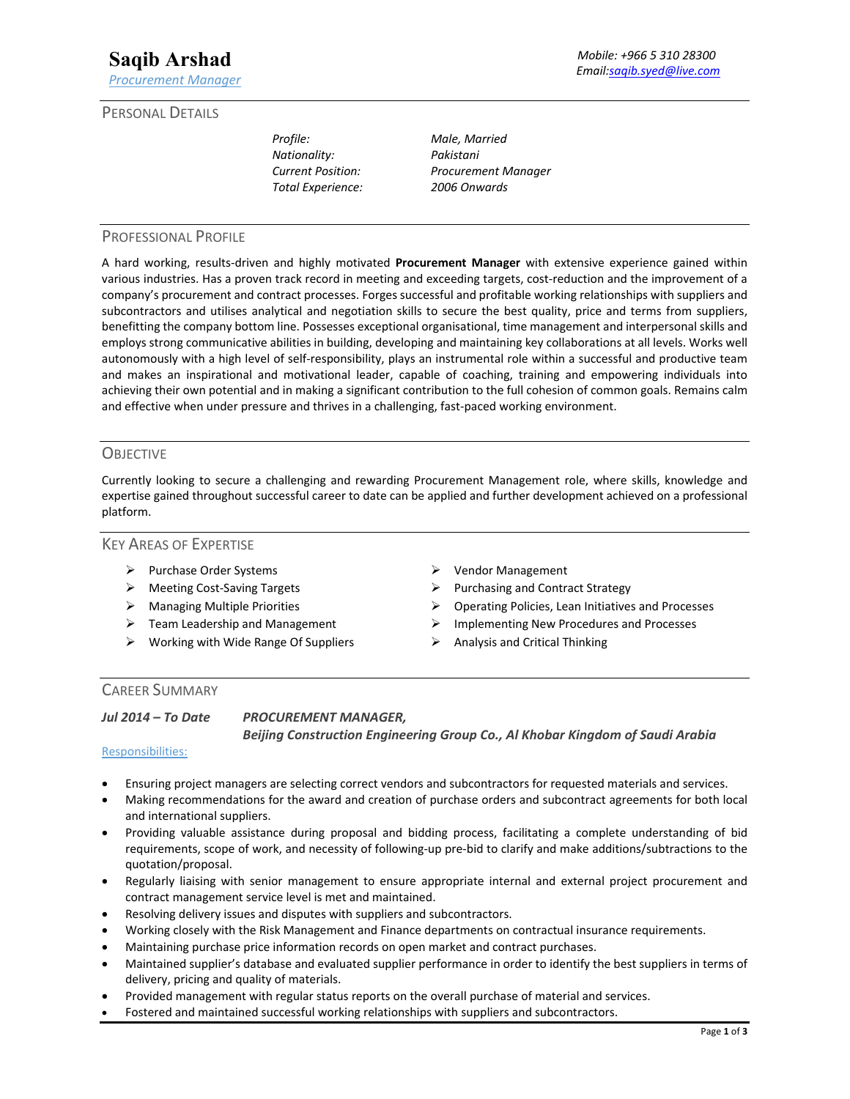*Profile: Male, Married Nationality: Pakistani Total Experience: 2006 Onwards* 

*Current Position: Procurement Manager* 

## PROFESSIONAL PROFILE

A hard working, results‐driven and highly motivated **Procurement Manager** with extensive experience gained within various industries. Has a proven track record in meeting and exceeding targets, cost-reduction and the improvement of a company's procurement and contract processes. Forges successful and profitable working relationships with suppliers and subcontractors and utilises analytical and negotiation skills to secure the best quality, price and terms from suppliers, benefitting the company bottom line. Possesses exceptional organisational, time management and interpersonal skills and employs strong communicative abilities in building, developing and maintaining key collaborations at all levels. Works well autonomously with a high level of self‐responsibility, plays an instrumental role within a successful and productive team and makes an inspirational and motivational leader, capable of coaching, training and empowering individuals into achieving their own potential and in making a significant contribution to the full cohesion of common goals. Remains calm and effective when under pressure and thrives in a challenging, fast-paced working environment.

### **OBJECTIVE**

Currently looking to secure a challenging and rewarding Procurement Management role, where skills, knowledge and expertise gained throughout successful career to date can be applied and further development achieved on a professional platform.

### KEY AREAS OF EXPERTISE

- > Purchase Order Systems Vendor Management
- 
- 
- 
- $\triangleright$  Working with Wide Range Of Suppliers  $\triangleright$  Analysis and Critical Thinking
- 
- → Meeting Cost-Saving Targets → Purchasing and Contract Strategy
- Managing Multiple Priorities Operating Policies, Lean Initiatives and Processes
- Team Leadership and Management Implementing New Procedures and Processes
	-

# CAREER SUMMARY

*Jul 2014 – To Date PROCUREMENT MANAGER,* 

 *Beijing Construction Engineering Group Co., Al Khobar Kingdom of Saudi Arabia* 

#### Responsibilities:

- Ensuring project managers are selecting correct vendors and subcontractors for requested materials and services.
- Making recommendations for the award and creation of purchase orders and subcontract agreements for both local and international suppliers.
- Providing valuable assistance during proposal and bidding process, facilitating a complete understanding of bid requirements, scope of work, and necessity of following‐up pre‐bid to clarify and make additions/subtractions to the quotation/proposal.
- Regularly liaising with senior management to ensure appropriate internal and external project procurement and contract management service level is met and maintained.
- Resolving delivery issues and disputes with suppliers and subcontractors.
- Working closely with the Risk Management and Finance departments on contractual insurance requirements.
- Maintaining purchase price information records on open market and contract purchases.
- Maintained supplier's database and evaluated supplier performance in order to identify the best suppliers in terms of delivery, pricing and quality of materials.
- Provided management with regular status reports on the overall purchase of material and services.
- Fostered and maintained successful working relationships with suppliers and subcontractors.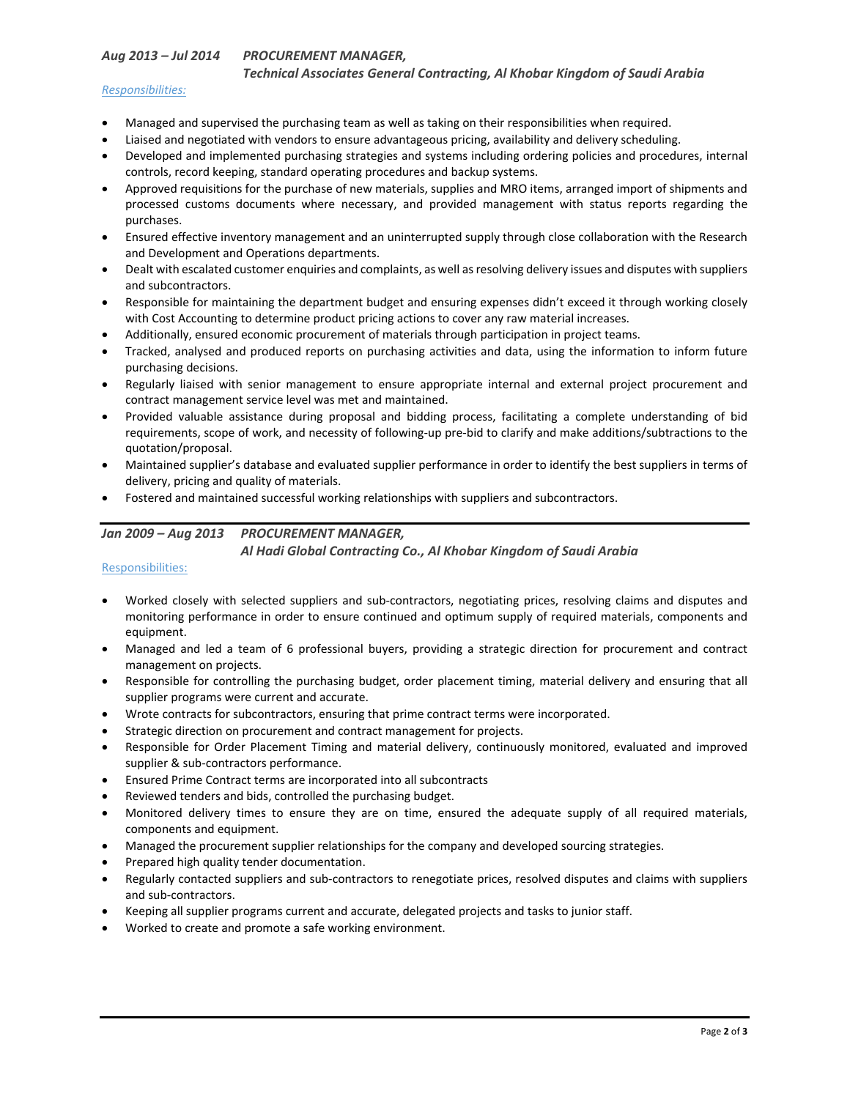## *Aug 2013 – Jul 2014 PROCUREMENT MANAGER,*

 *Technical Associates General Contracting, Al Khobar Kingdom of Saudi Arabia* 

### *Responsibilities:*

- Managed and supervised the purchasing team as well as taking on their responsibilities when required.
- Liaised and negotiated with vendors to ensure advantageous pricing, availability and delivery scheduling.
- Developed and implemented purchasing strategies and systems including ordering policies and procedures, internal controls, record keeping, standard operating procedures and backup systems.
- Approved requisitions for the purchase of new materials, supplies and MRO items, arranged import of shipments and processed customs documents where necessary, and provided management with status reports regarding the purchases.
- Ensured effective inventory management and an uninterrupted supply through close collaboration with the Research and Development and Operations departments.
- Dealt with escalated customer enquiries and complaints, as well as resolving delivery issues and disputes with suppliers and subcontractors.
- Responsible for maintaining the department budget and ensuring expenses didn't exceed it through working closely with Cost Accounting to determine product pricing actions to cover any raw material increases.
- Additionally, ensured economic procurement of materials through participation in project teams.
- Tracked, analysed and produced reports on purchasing activities and data, using the information to inform future purchasing decisions.
- Regularly liaised with senior management to ensure appropriate internal and external project procurement and contract management service level was met and maintained.
- Provided valuable assistance during proposal and bidding process, facilitating a complete understanding of bid requirements, scope of work, and necessity of following‐up pre‐bid to clarify and make additions/subtractions to the quotation/proposal.
- Maintained supplier's database and evaluated supplier performance in order to identify the best suppliers in terms of delivery, pricing and quality of materials.
- Fostered and maintained successful working relationships with suppliers and subcontractors.

## *Jan 2009 – Aug 2013 PROCUREMENT MANAGER,*

### *Al Hadi Global Contracting Co., Al Khobar Kingdom of Saudi Arabia*

## Responsibilities:

- Worked closely with selected suppliers and sub-contractors, negotiating prices, resolving claims and disputes and monitoring performance in order to ensure continued and optimum supply of required materials, components and equipment.
- Managed and led a team of 6 professional buyers, providing a strategic direction for procurement and contract management on projects.
- Responsible for controlling the purchasing budget, order placement timing, material delivery and ensuring that all supplier programs were current and accurate.
- Wrote contracts for subcontractors, ensuring that prime contract terms were incorporated.
- Strategic direction on procurement and contract management for projects.
- Responsible for Order Placement Timing and material delivery, continuously monitored, evaluated and improved supplier & sub-contractors performance.
- Ensured Prime Contract terms are incorporated into all subcontracts
- Reviewed tenders and bids, controlled the purchasing budget.
- Monitored delivery times to ensure they are on time, ensured the adequate supply of all required materials, components and equipment.
- Managed the procurement supplier relationships for the company and developed sourcing strategies.
- Prepared high quality tender documentation.
- Regularly contacted suppliers and sub-contractors to renegotiate prices, resolved disputes and claims with suppliers and sub‐contractors.
- Keeping all supplier programs current and accurate, delegated projects and tasks to junior staff.
- Worked to create and promote a safe working environment.